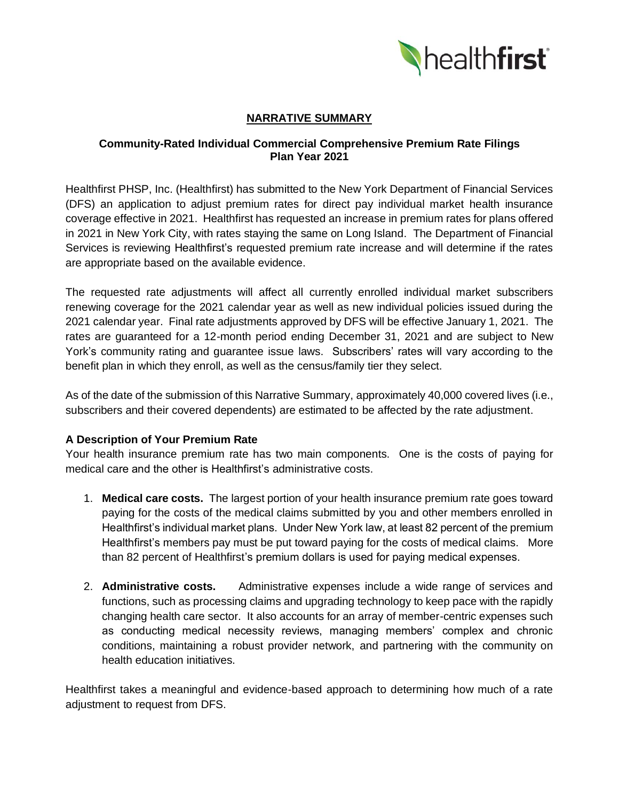

# **NARRATIVE SUMMARY**

### **Community-Rated Individual Commercial Comprehensive Premium Rate Filings Plan Year 2021**

Healthfirst PHSP, Inc. (Healthfirst) has submitted to the New York Department of Financial Services (DFS) an application to adjust premium rates for direct pay individual market health insurance coverage effective in 2021. Healthfirst has requested an increase in premium rates for plans offered in 2021 in New York City, with rates staying the same on Long Island. The Department of Financial Services is reviewing Healthfirst's requested premium rate increase and will determine if the rates are appropriate based on the available evidence.

The requested rate adjustments will affect all currently enrolled individual market subscribers renewing coverage for the 2021 calendar year as well as new individual policies issued during the 2021 calendar year. Final rate adjustments approved by DFS will be effective January 1, 2021. The rates are guaranteed for a 12-month period ending December 31, 2021 and are subject to New York's community rating and guarantee issue laws. Subscribers' rates will vary according to the benefit plan in which they enroll, as well as the census/family tier they select.

As of the date of the submission of this Narrative Summary, approximately 40,000 covered lives (i.e., subscribers and their covered dependents) are estimated to be affected by the rate adjustment.

### **A Description of Your Premium Rate**

Your health insurance premium rate has two main components. One is the costs of paying for medical care and the other is Healthfirst's administrative costs.

- 1. **Medical care costs.** The largest portion of your health insurance premium rate goes toward paying for the costs of the medical claims submitted by you and other members enrolled in Healthfirst's individual market plans. Under New York law, at least 82 percent of the premium Healthfirst's members pay must be put toward paying for the costs of medical claims. More than 82 percent of Healthfirst's premium dollars is used for paying medical expenses.
- 2. **Administrative costs.** Administrative expenses include a wide range of services and functions, such as processing claims and upgrading technology to keep pace with the rapidly changing health care sector. It also accounts for an array of member-centric expenses such as conducting medical necessity reviews, managing members' complex and chronic conditions, maintaining a robust provider network, and partnering with the community on health education initiatives.

Healthfirst takes a meaningful and evidence-based approach to determining how much of a rate adjustment to request from DFS.